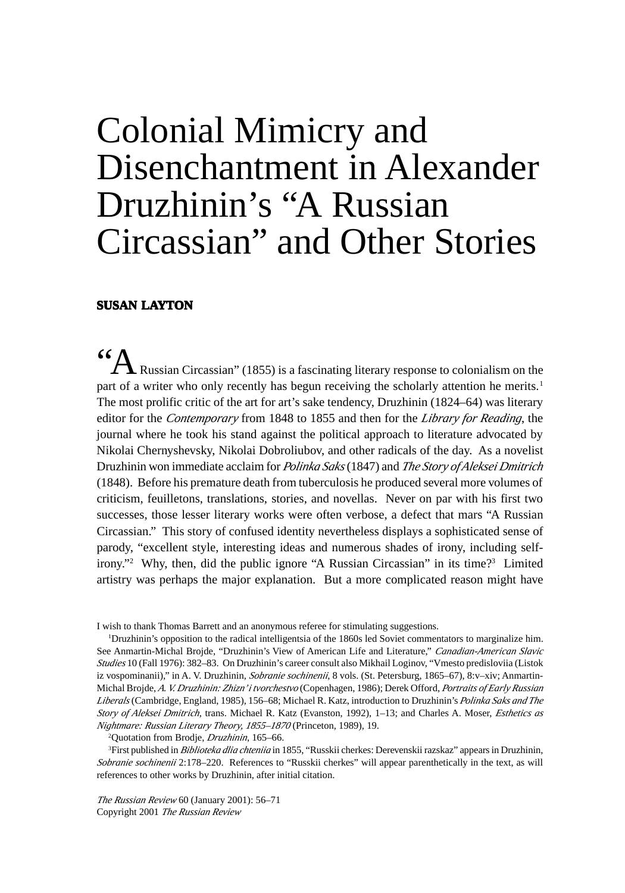# Colonial Mimicry and Disenchantment in Alexander Druzhinin's "A Russian Circassian" and Other Stories

## **SUSAN LAYTON**

Russian Circassian" (1855) is a fascinating literary response to colonialism on the part of a writer who only recently has begun receiving the scholarly attention he merits.<sup>1</sup> The most prolific critic of the art for art's sake tendency, Druzhinin (1824–64) was literary editor for the *Contemporary* from 1848 to 1855 and then for the *Library for Reading*, the journal where he took his stand against the political approach to literature advocated by Nikolai Chernyshevsky, Nikolai Dobroliubov, and other radicals of the day. As a novelist Druzhinin won immediate acclaim for *Polinka Saks* (1847) and *The Story of Aleksei Dmitrich* (1848). Before his premature death from tuberculosis he produced several more volumes of criticism, feuilletons, translations, stories, and novellas. Never on par with his first two successes, those lesser literary works were often verbose, a defect that mars "A Russian Circassian." This story of confused identity nevertheless displays a sophisticated sense of parody, "excellent style, interesting ideas and numerous shades of irony, including selfirony." Why, then, did the public ignore "A Russian Circassian" in its time?<sup>3</sup> Limited artistry was perhaps the major explanation. But a more complicated reason might have

I wish to thank Thomas Barrett and an anonymous referee for stimulating suggestions.

1 Druzhinin's opposition to the radical intelligentsia of the 1860s led Soviet commentators to marginalize him. See Anmartin-Michal Brojde, "Druzhinin's View of American Life and Literature," *Canadian-American Slavic Studies* 10 (Fall 1976): 382–83. On Druzhinin's career consult also Mikhail Loginov, "Vmesto predisloviia (Listok iz vospominanii)," in A. V. Druzhinin, *Sobranie sochinenii*, 8 vols. (St. Petersburg, 1865–67), 8:v–xiv; Anmartin-Michal Brojde, *A. V. Druzhinin: Zhizn' i tvorchestvo* (Copenhagen, 1986); Derek Offord, *Portraits of Early Russian Liberals* (Cambridge, England, 1985), 156–68; Michael R. Katz, introduction to Druzhinin's *Polinka Saks and The Story of Aleksei Dmitrich*, trans. Michael R. Katz (Evanston, 1992), 1–13; and Charles A. Moser, *Esthetics as Nightmare: Russian Literary Theory, 1855–1870* (Princeton, 1989), 19.

2 Quotation from Brodje, *Druzhinin*, 165–66.

3 First published in *Biblioteka dlia chteniia* in 1855, "Russkii cherkes: Derevenskii razskaz" appears in Druzhinin, *Sobranie sochinenii* 2:178–220. References to "Russkii cherkes" will appear parenthetically in the text, as will references to other works by Druzhinin, after initial citation.

*The Russian Review* 60 (January 2001): 56–71 Copyright 2001 *The Russian Review*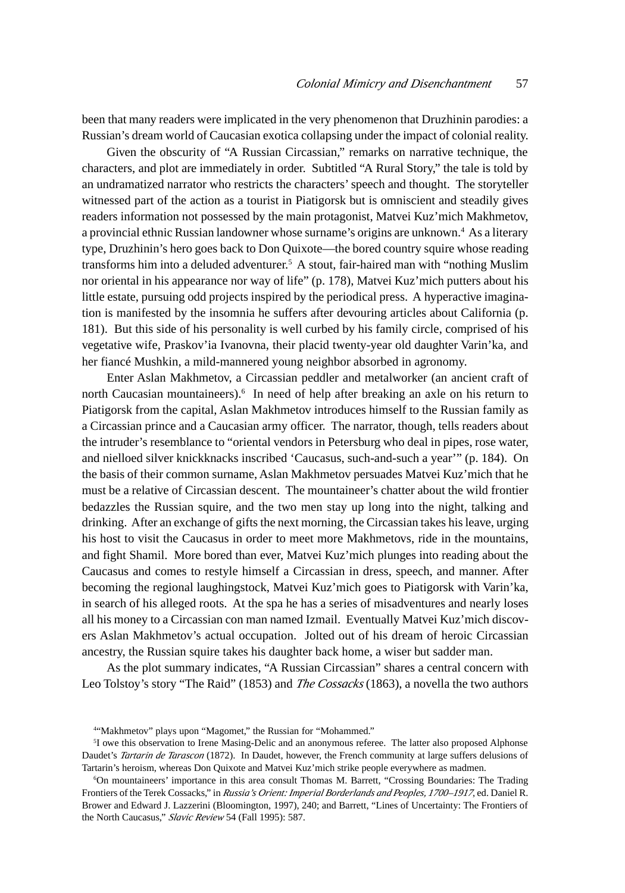been that many readers were implicated in the very phenomenon that Druzhinin parodies: a Russian's dream world of Caucasian exotica collapsing under the impact of colonial reality.

Given the obscurity of "A Russian Circassian," remarks on narrative technique, the characters, and plot are immediately in order. Subtitled "A Rural Story," the tale is told by an undramatized narrator who restricts the characters' speech and thought. The storyteller witnessed part of the action as a tourist in Piatigorsk but is omniscient and steadily gives readers information not possessed by the main protagonist, Matvei Kuz'mich Makhmetov, a provincial ethnic Russian landowner whose surname's origins are unknown.<sup>4</sup> As a literary type, Druzhinin's hero goes back to Don Quixote—the bored country squire whose reading transforms him into a deluded adventurer.5 A stout, fair-haired man with "nothing Muslim nor oriental in his appearance nor way of life" (p. 178), Matvei Kuz'mich putters about his little estate, pursuing odd projects inspired by the periodical press. A hyperactive imagination is manifested by the insomnia he suffers after devouring articles about California (p. 181). But this side of his personality is well curbed by his family circle, comprised of his vegetative wife, Praskov'ia Ivanovna, their placid twenty-year old daughter Varin'ka, and her fiancé Mushkin, a mild-mannered young neighbor absorbed in agronomy.

Enter Aslan Makhmetov, a Circassian peddler and metalworker (an ancient craft of north Caucasian mountaineers).<sup>6</sup> In need of help after breaking an axle on his return to Piatigorsk from the capital, Aslan Makhmetov introduces himself to the Russian family as a Circassian prince and a Caucasian army officer. The narrator, though, tells readers about the intruder's resemblance to "oriental vendors in Petersburg who deal in pipes, rose water, and nielloed silver knickknacks inscribed 'Caucasus, such-and-such a year'" (p. 184). On the basis of their common surname, Aslan Makhmetov persuades Matvei Kuz'mich that he must be a relative of Circassian descent. The mountaineer's chatter about the wild frontier bedazzles the Russian squire, and the two men stay up long into the night, talking and drinking. After an exchange of gifts the next morning, the Circassian takes his leave, urging his host to visit the Caucasus in order to meet more Makhmetovs, ride in the mountains, and fight Shamil. More bored than ever, Matvei Kuz'mich plunges into reading about the Caucasus and comes to restyle himself a Circassian in dress, speech, and manner. After becoming the regional laughingstock, Matvei Kuz'mich goes to Piatigorsk with Varin'ka, in search of his alleged roots. At the spa he has a series of misadventures and nearly loses all his money to a Circassian con man named Izmail. Eventually Matvei Kuz'mich discovers Aslan Makhmetov's actual occupation. Jolted out of his dream of heroic Circassian ancestry, the Russian squire takes his daughter back home, a wiser but sadder man.

As the plot summary indicates, "A Russian Circassian" shares a central concern with Leo Tolstoy's story "The Raid" (1853) and *The Cossacks* (1863), a novella the two authors

<sup>4</sup> "Makhmetov" plays upon "Magomet," the Russian for "Mohammed."

<sup>&</sup>lt;sup>5</sup>I owe this observation to Irene Masing-Delic and an anonymous referee. The latter also proposed Alphonse Daudet's *Tartarin de Tarascon* (1872). In Daudet, however, the French community at large suffers delusions of Tartarin's heroism, whereas Don Quixote and Matvei Kuz'mich strike people everywhere as madmen.

<sup>6</sup> On mountaineers' importance in this area consult Thomas M. Barrett, "Crossing Boundaries: The Trading Frontiers of the Terek Cossacks," in *Russia's Orient: Imperial Borderlands and Peoples, 1700–1917*, ed. Daniel R. Brower and Edward J. Lazzerini (Bloomington, 1997), 240; and Barrett, "Lines of Uncertainty: The Frontiers of the North Caucasus," *Slavic Review* 54 (Fall 1995): 587.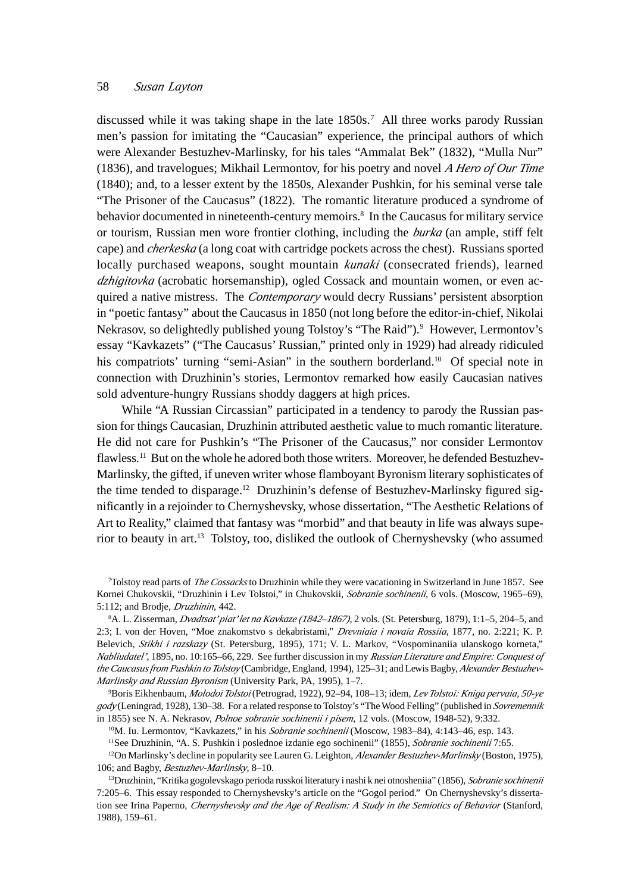discussed while it was taking shape in the late 1850s.<sup>7</sup> All three works parody Russian men's passion for imitating the "Caucasian" experience, the principal authors of which were Alexander Bestuzhev-Marlinsky, for his tales "Ammalat Bek" (1832), "Mulla Nur" (1836), and travelogues; Mikhail Lermontov, for his poetry and novel *A Hero of Our Time* (1840); and, to a lesser extent by the 1850s, Alexander Pushkin, for his seminal verse tale "The Prisoner of the Caucasus" (1822). The romantic literature produced a syndrome of behavior documented in nineteenth-century memoirs.<sup>8</sup> In the Caucasus for military service or tourism, Russian men wore frontier clothing, including the *burka* (an ample, stiff felt cape) and *cherkeska* (a long coat with cartridge pockets across the chest). Russians sported locally purchased weapons, sought mountain *kunaki* (consecrated friends), learned *dzhigitovka* (acrobatic horsemanship), ogled Cossack and mountain women, or even acquired a native mistress. The *Contemporary* would decry Russians' persistent absorption in "poetic fantasy" about the Caucasus in 1850 (not long before the editor-in-chief, Nikolai Nekrasov, so delightedly published young Tolstoy's "The Raid").<sup>9</sup> However, Lermontov's essay "Kavkazets" ("The Caucasus' Russian," printed only in 1929) had already ridiculed his compatriots' turning "semi-Asian" in the southern borderland.<sup>10</sup> Of special note in connection with Druzhinin's stories, Lermontov remarked how easily Caucasian natives sold adventure-hungry Russians shoddy daggers at high prices.

While "A Russian Circassian" participated in a tendency to parody the Russian passion for things Caucasian, Druzhinin attributed aesthetic value to much romantic literature. He did not care for Pushkin's "The Prisoner of the Caucasus," nor consider Lermontov flawless.<sup>11</sup> But on the whole he adored both those writers. Moreover, he defended Bestuzhev-Marlinsky, the gifted, if uneven writer whose flamboyant Byronism literary sophisticates of the time tended to disparage.<sup>12</sup> Druzhinin's defense of Bestuzhev-Marlinsky figured significantly in a rejoinder to Chernyshevsky, whose dissertation, "The Aesthetic Relations of Art to Reality," claimed that fantasy was "morbid" and that beauty in life was always superior to beauty in art.13 Tolstoy, too, disliked the outlook of Chernyshevsky (who assumed

10M. Iu. Lermontov, "Kavkazets," in his *Sobranie sochinenii* (Moscow, 1983–84), 4:143–46, esp. 143.

11See Druzhinin, "A. S. Pushkin i poslednoe izdanie ego sochinenii" (1855), *Sobranie sochinenii* 7:65.

12On Marlinsky's decline in popularity see Lauren G. Leighton, *Alexander Bestuzhev-Marlinsky* (Boston, 1975), 106; and Bagby, *Bestuzhev-Marlinsky*, 8–10.

<sup>7</sup> Tolstoy read parts of *The Cossacks* to Druzhinin while they were vacationing in Switzerland in June 1857. See Kornei Chukovskii, "Druzhinin i Lev Tolstoi," in Chukovskii, *Sobranie sochinenii*, 6 vols. (Moscow, 1965–69), 5:112; and Brodje, *Druzhinin*, 442.

<sup>8</sup> A. L. Zisserman, *Dvadtsat' piat' let na Kavkaze (1842–1867)*, 2 vols. (St. Petersburg, 1879), 1:1–5, 204–5, and 2:3; I. von der Hoven, "Moe znakomstvo s dekabristami," *Drevniaia i novaia Rossiia*, 1877, no. 2:221; K. P. Belevich, *Stikhi i razskazy* (St. Petersburg, 1895), 171; V. L. Markov, "Vospominaniia ulanskogo korneta," *Nabliudatel'*, 1895, no. 10:165–66, 229. See further discussion in my *Russian Literature and Empire: Conquest of the Caucasus from Pushkin to Tolstoy* (Cambridge, England, 1994), 125–31; and Lewis Bagby, *Alexander Bestuzhev-Marlinsky and Russian Byronism* (University Park, PA, 1995), 1–7.

<sup>9</sup> Boris Eikhenbaum, *Molodoi Tolstoi* (Petrograd, 1922), 92–94, 108–13; idem, *Lev Tolstoi: Kniga pervaia, 50-ye gody* (Leningrad, 1928), 130–38. For a related response to Tolstoy's "The Wood Felling" (published in *Sovremennik* in 1855) see N. A. Nekrasov, *Polnoe sobranie sochinenii i pisem*, 12 vols. (Moscow, 1948-52), 9:332.

<sup>13</sup>Druzhinin, "Kritika gogolevskago perioda russkoi literatury i nashi k nei otnosheniia" (1856), *Sobranie sochinenii* 7:205–6. This essay responded to Chernyshevsky's article on the "Gogol period." On Chernyshevsky's dissertation see Irina Paperno, *Chernyshevsky and the Age of Realism: A Study in the Semiotics of Behavior* (Stanford, 1988), 159–61.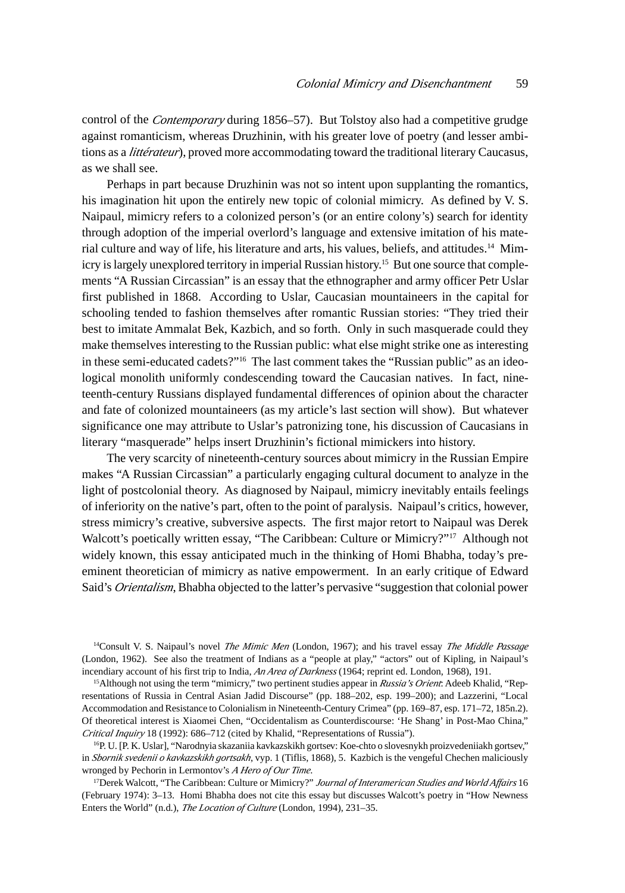control of the *Contemporary* during 1856–57). But Tolstoy also had a competitive grudge against romanticism, whereas Druzhinin, with his greater love of poetry (and lesser ambitions as a *littérateur*), proved more accommodating toward the traditional literary Caucasus, as we shall see.

Perhaps in part because Druzhinin was not so intent upon supplanting the romantics, his imagination hit upon the entirely new topic of colonial mimicry. As defined by V. S. Naipaul, mimicry refers to a colonized person's (or an entire colony's) search for identity through adoption of the imperial overlord's language and extensive imitation of his material culture and way of life, his literature and arts, his values, beliefs, and attitudes.14 Mimicry is largely unexplored territory in imperial Russian history.<sup>15</sup> But one source that complements "A Russian Circassian" is an essay that the ethnographer and army officer Petr Uslar first published in 1868. According to Uslar, Caucasian mountaineers in the capital for schooling tended to fashion themselves after romantic Russian stories: "They tried their best to imitate Ammalat Bek, Kazbich, and so forth. Only in such masquerade could they make themselves interesting to the Russian public: what else might strike one as interesting in these semi-educated cadets?"16 The last comment takes the "Russian public" as an ideological monolith uniformly condescending toward the Caucasian natives. In fact, nineteenth-century Russians displayed fundamental differences of opinion about the character and fate of colonized mountaineers (as my article's last section will show). But whatever significance one may attribute to Uslar's patronizing tone, his discussion of Caucasians in literary "masquerade" helps insert Druzhinin's fictional mimickers into history.

The very scarcity of nineteenth-century sources about mimicry in the Russian Empire makes "A Russian Circassian" a particularly engaging cultural document to analyze in the light of postcolonial theory. As diagnosed by Naipaul, mimicry inevitably entails feelings of inferiority on the native's part, often to the point of paralysis. Naipaul's critics, however, stress mimicry's creative, subversive aspects. The first major retort to Naipaul was Derek Walcott's poetically written essay, "The Caribbean: Culture or Mimicry?"<sup>17</sup> Although not widely known, this essay anticipated much in the thinking of Homi Bhabha, today's preeminent theoretician of mimicry as native empowerment. In an early critique of Edward Said's *Orientalism*, Bhabha objected to the latter's pervasive "suggestion that colonial power

14Consult V. S. Naipaul's novel *The Mimic Men* (London, 1967); and his travel essay *The Middle Passage* (London, 1962). See also the treatment of Indians as a "people at play," "actors" out of Kipling, in Naipaul's incendiary account of his first trip to India, *An Area of Darkness* (1964; reprint ed. London, 1968), 191.

15Although not using the term "mimicry," two pertinent studies appear in *Russia's Orient*: Adeeb Khalid, "Representations of Russia in Central Asian Jadid Discourse" (pp. 188–202, esp. 199–200); and Lazzerini, "Local Accommodation and Resistance to Colonialism in Nineteenth-Century Crimea" (pp. 169–87, esp. 171–72, 185n.2). Of theoretical interest is Xiaomei Chen, "Occidentalism as Counterdiscourse: 'He Shang' in Post-Mao China," *Critical Inquiry* 18 (1992): 686–712 (cited by Khalid, "Representations of Russia").

16P. U. [P. K. Uslar], "Narodnyia skazaniia kavkazskikh gortsev: Koe-chto o slovesnykh proizvedeniiakh gortsev," in *Sbornik svedenii o kavkazskikh gortsakh*, vyp. 1 (Tiflis, 1868), 5. Kazbich is the vengeful Chechen maliciously wronged by Pechorin in Lermontov's *A Hero of Our Time*.

17Derek Walcott, "The Caribbean: Culture or Mimicry?" *Journal of Interamerican Studies and World Affairs* 16 (February 1974): 3–13. Homi Bhabha does not cite this essay but discusses Walcott's poetry in "How Newness Enters the World" (n.d.), *The Location of Culture* (London, 1994), 231–35.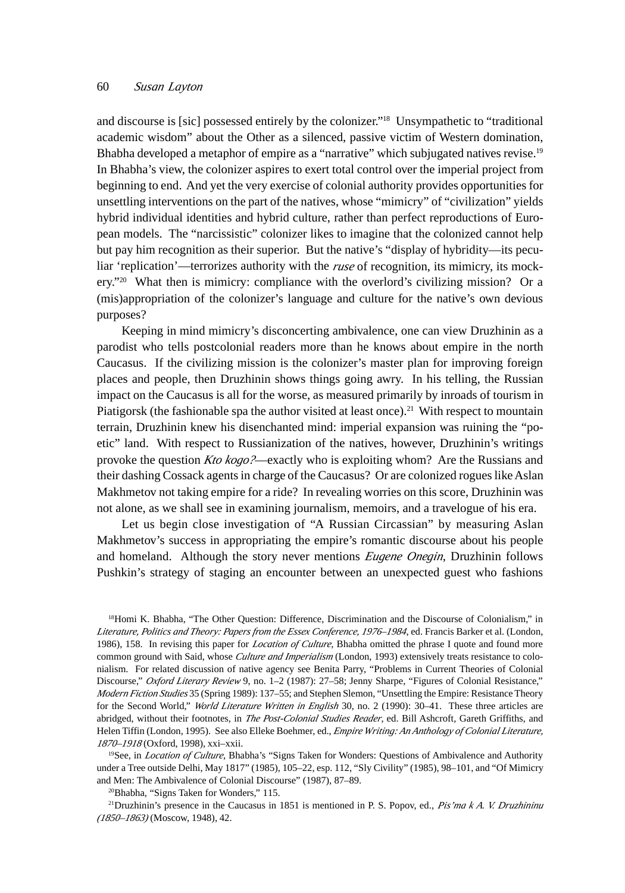and discourse is [sic] possessed entirely by the colonizer."18 Unsympathetic to "traditional academic wisdom" about the Other as a silenced, passive victim of Western domination, Bhabha developed a metaphor of empire as a "narrative" which subjugated natives revise.<sup>19</sup> In Bhabha's view, the colonizer aspires to exert total control over the imperial project from beginning to end. And yet the very exercise of colonial authority provides opportunities for unsettling interventions on the part of the natives, whose "mimicry" of "civilization" yields hybrid individual identities and hybrid culture, rather than perfect reproductions of European models. The "narcissistic" colonizer likes to imagine that the colonized cannot help but pay him recognition as their superior. But the native's "display of hybridity—its peculiar 'replication'—terrorizes authority with the *ruse* of recognition, its mimicry, its mockery."20 What then is mimicry: compliance with the overlord's civilizing mission? Or a (mis)appropriation of the colonizer's language and culture for the native's own devious purposes?

Keeping in mind mimicry's disconcerting ambivalence, one can view Druzhinin as a parodist who tells postcolonial readers more than he knows about empire in the north Caucasus. If the civilizing mission is the colonizer's master plan for improving foreign places and people, then Druzhinin shows things going awry. In his telling, the Russian impact on the Caucasus is all for the worse, as measured primarily by inroads of tourism in Piatigorsk (the fashionable spa the author visited at least once).<sup>21</sup> With respect to mountain terrain, Druzhinin knew his disenchanted mind: imperial expansion was ruining the "poetic" land. With respect to Russianization of the natives, however, Druzhinin's writings provoke the question *Kto kogo?*—exactly who is exploiting whom? Are the Russians and their dashing Cossack agents in charge of the Caucasus? Or are colonized rogues like Aslan Makhmetov not taking empire for a ride? In revealing worries on this score, Druzhinin was not alone, as we shall see in examining journalism, memoirs, and a travelogue of his era.

Let us begin close investigation of "A Russian Circassian" by measuring Aslan Makhmetov's success in appropriating the empire's romantic discourse about his people and homeland. Although the story never mentions *Eugene Onegin*, Druzhinin follows Pushkin's strategy of staging an encounter between an unexpected guest who fashions

18Homi K. Bhabha, "The Other Question: Difference, Discrimination and the Discourse of Colonialism," in *Literature, Politics and Theory: Papers from the Essex Conference, 1976–1984*, ed. Francis Barker et al. (London, 1986), 158. In revising this paper for *Location of Culture*, Bhabha omitted the phrase I quote and found more common ground with Said, whose *Culture and Imperialism* (London, 1993) extensively treats resistance to colonialism. For related discussion of native agency see Benita Parry, "Problems in Current Theories of Colonial Discourse," *Oxford Literary Review* 9, no. 1–2 (1987): 27–58; Jenny Sharpe, "Figures of Colonial Resistance," *Modern Fiction Studies* 35 (Spring 1989): 137–55; and Stephen Slemon, "Unsettling the Empire: Resistance Theory for the Second World," *World Literature Written in English* 30, no. 2 (1990): 30–41. These three articles are abridged, without their footnotes, in *The Post-Colonial Studies Reader*, ed. Bill Ashcroft, Gareth Griffiths, and Helen Tiffin (London, 1995). See also Elleke Boehmer, ed., *Empire Writing: An Anthology of Colonial Literature, 1870–1918* (Oxford, 1998), xxi–xxii.

19See, in *Location of Culture*, Bhabha's "Signs Taken for Wonders: Questions of Ambivalence and Authority under a Tree outside Delhi, May 1817" (1985), 105–22, esp. 112, "Sly Civility" (1985), 98–101, and "Of Mimicry and Men: The Ambivalence of Colonial Discourse" (1987), 87–89.

20Bhabha, "Signs Taken for Wonders," 115.

21Druzhinin's presence in the Caucasus in 1851 is mentioned in P. S. Popov, ed., *Pis'ma k A. V. Druzhininu (1850–1863)* (Moscow, 1948), 42.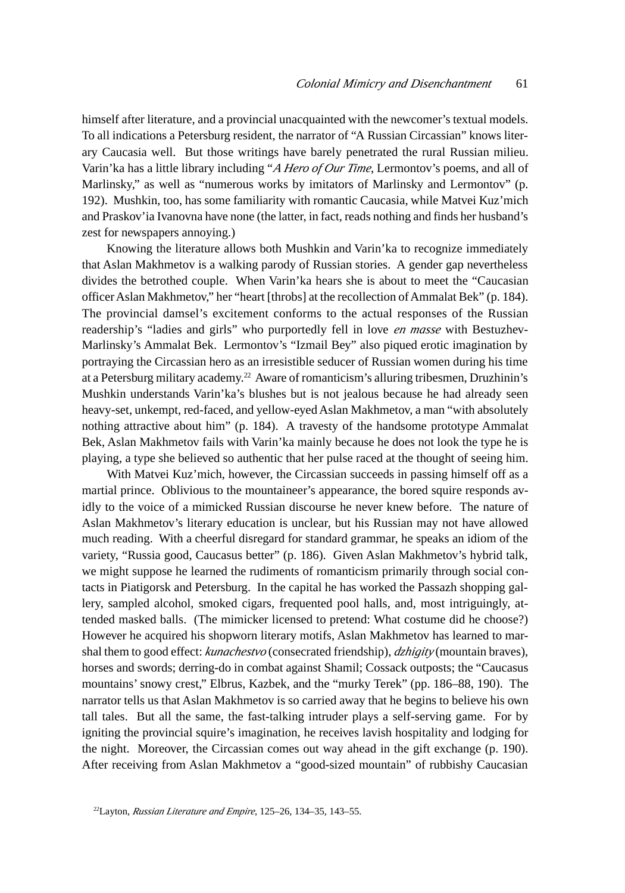himself after literature, and a provincial unacquainted with the newcomer's textual models. To all indications a Petersburg resident, the narrator of "A Russian Circassian" knows literary Caucasia well. But those writings have barely penetrated the rural Russian milieu. Varin'ka has a little library including "*A Hero of Our Time*, Lermontov's poems, and all of Marlinsky," as well as "numerous works by imitators of Marlinsky and Lermontov" (p. 192). Mushkin, too, has some familiarity with romantic Caucasia, while Matvei Kuz'mich and Praskov'ia Ivanovna have none (the latter, in fact, reads nothing and finds her husband's zest for newspapers annoying.)

Knowing the literature allows both Mushkin and Varin'ka to recognize immediately that Aslan Makhmetov is a walking parody of Russian stories. A gender gap nevertheless divides the betrothed couple. When Varin'ka hears she is about to meet the "Caucasian officer Aslan Makhmetov," her "heart [throbs] at the recollection of Ammalat Bek" (p. 184). The provincial damsel's excitement conforms to the actual responses of the Russian readership's "ladies and girls" who purportedly fell in love *en masse* with Bestuzhev-Marlinsky's Ammalat Bek. Lermontov's "Izmail Bey" also piqued erotic imagination by portraying the Circassian hero as an irresistible seducer of Russian women during his time at a Petersburg military academy.22 Aware of romanticism's alluring tribesmen, Druzhinin's Mushkin understands Varin'ka's blushes but is not jealous because he had already seen heavy-set, unkempt, red-faced, and yellow-eyed Aslan Makhmetov, a man "with absolutely nothing attractive about him" (p. 184). A travesty of the handsome prototype Ammalat Bek, Aslan Makhmetov fails with Varin'ka mainly because he does not look the type he is playing, a type she believed so authentic that her pulse raced at the thought of seeing him.

With Matvei Kuz'mich, however, the Circassian succeeds in passing himself off as a martial prince. Oblivious to the mountaineer's appearance, the bored squire responds avidly to the voice of a mimicked Russian discourse he never knew before. The nature of Aslan Makhmetov's literary education is unclear, but his Russian may not have allowed much reading. With a cheerful disregard for standard grammar, he speaks an idiom of the variety, "Russia good, Caucasus better" (p. 186). Given Aslan Makhmetov's hybrid talk, we might suppose he learned the rudiments of romanticism primarily through social contacts in Piatigorsk and Petersburg. In the capital he has worked the Passazh shopping gallery, sampled alcohol, smoked cigars, frequented pool halls, and, most intriguingly, attended masked balls. (The mimicker licensed to pretend: What costume did he choose?) However he acquired his shopworn literary motifs, Aslan Makhmetov has learned to marshal them to good effect: *kunachestvo* (consecrated friendship), *dzhigity* (mountain braves), horses and swords; derring-do in combat against Shamil; Cossack outposts; the "Caucasus mountains' snowy crest," Elbrus, Kazbek, and the "murky Terek" (pp. 186–88, 190). The narrator tells us that Aslan Makhmetov is so carried away that he begins to believe his own tall tales. But all the same, the fast-talking intruder plays a self-serving game. For by igniting the provincial squire's imagination, he receives lavish hospitality and lodging for the night. Moreover, the Circassian comes out way ahead in the gift exchange (p. 190). After receiving from Aslan Makhmetov a "good-sized mountain" of rubbishy Caucasian

<sup>22</sup>Layton, *Russian Literature and Empire*, 125–26, 134–35, 143–55.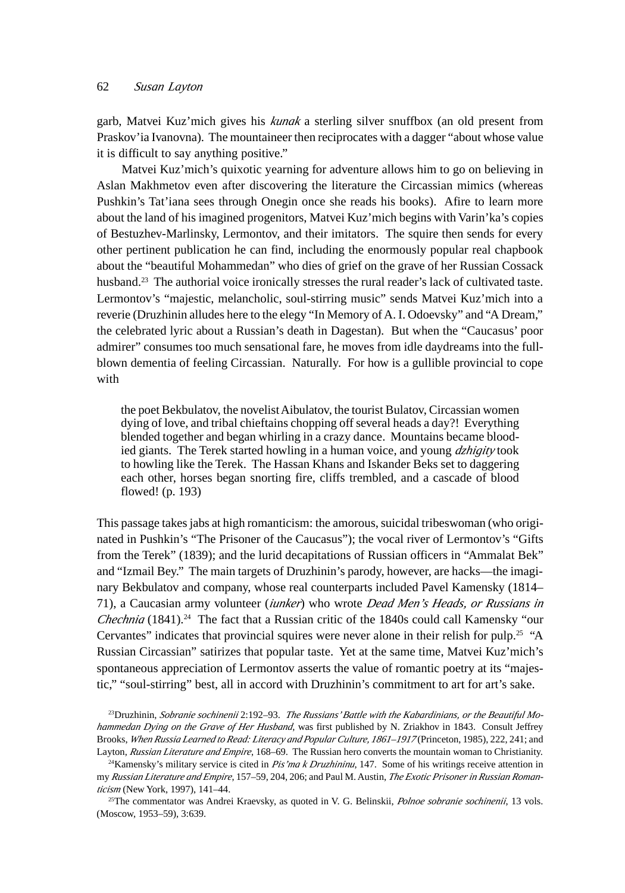garb, Matvei Kuz'mich gives his *kunak* a sterling silver snuffbox (an old present from Praskov'ia Ivanovna). The mountaineer then reciprocates with a dagger "about whose value it is difficult to say anything positive."

Matvei Kuz'mich's quixotic yearning for adventure allows him to go on believing in Aslan Makhmetov even after discovering the literature the Circassian mimics (whereas Pushkin's Tat'iana sees through Onegin once she reads his books). Afire to learn more about the land of his imagined progenitors, Matvei Kuz'mich begins with Varin'ka's copies of Bestuzhev-Marlinsky, Lermontov, and their imitators. The squire then sends for every other pertinent publication he can find, including the enormously popular real chapbook about the "beautiful Mohammedan" who dies of grief on the grave of her Russian Cossack husband.<sup>23</sup> The authorial voice ironically stresses the rural reader's lack of cultivated taste. Lermontov's "majestic, melancholic, soul-stirring music" sends Matvei Kuz'mich into a reverie (Druzhinin alludes here to the elegy "In Memory of A. I. Odoevsky" and "A Dream," the celebrated lyric about a Russian's death in Dagestan). But when the "Caucasus' poor admirer" consumes too much sensational fare, he moves from idle daydreams into the fullblown dementia of feeling Circassian. Naturally. For how is a gullible provincial to cope with

the poet Bekbulatov, the novelist Aibulatov, the tourist Bulatov, Circassian women dying of love, and tribal chieftains chopping off several heads a day?! Everything blended together and began whirling in a crazy dance. Mountains became bloodied giants. The Terek started howling in a human voice, and young *dzhigity* took to howling like the Terek. The Hassan Khans and Iskander Beks set to daggering each other, horses began snorting fire, cliffs trembled, and a cascade of blood flowed! (p. 193)

This passage takes jabs at high romanticism: the amorous, suicidal tribeswoman (who originated in Pushkin's "The Prisoner of the Caucasus"); the vocal river of Lermontov's "Gifts from the Terek" (1839); and the lurid decapitations of Russian officers in "Ammalat Bek" and "Izmail Bey." The main targets of Druzhinin's parody, however, are hacks—the imaginary Bekbulatov and company, whose real counterparts included Pavel Kamensky (1814– 71), a Caucasian army volunteer (*iunker*) who wrote *Dead Men's Heads, or Russians in Chechnia* (1841).<sup>24</sup> The fact that a Russian critic of the 1840s could call Kamensky "our Cervantes" indicates that provincial squires were never alone in their relish for pulp.25 "A Russian Circassian" satirizes that popular taste. Yet at the same time, Matvei Kuz'mich's spontaneous appreciation of Lermontov asserts the value of romantic poetry at its "majestic," "soul-stirring" best, all in accord with Druzhinin's commitment to art for art's sake.

23Druzhinin, *Sobranie sochinenii* 2:192–93. *The Russians' Battle with the Kabardinians, or the Beautiful Mohammedan Dying on the Grave of Her Husband*, was first published by N. Zriakhov in 1843. Consult Jeffrey Brooks, *When Russia Learned to Read: Literacy and Popular Culture, 1861–1917* (Princeton, 1985), 222, 241; and Layton, *Russian Literature and Empire*, 168–69. The Russian hero converts the mountain woman to Christianity.

25The commentator was Andrei Kraevsky, as quoted in V. G. Belinskii, *Polnoe sobranie sochinenii*, 13 vols. (Moscow, 1953–59), 3:639.

<sup>24</sup>Kamensky's military service is cited in *Pis'ma k Druzhininu*, 147. Some of his writings receive attention in my *Russian Literature and Empire*, 157–59, 204, 206; and Paul M. Austin, *The Exotic Prisoner in Russian Romanticism* (New York, 1997), 141–44.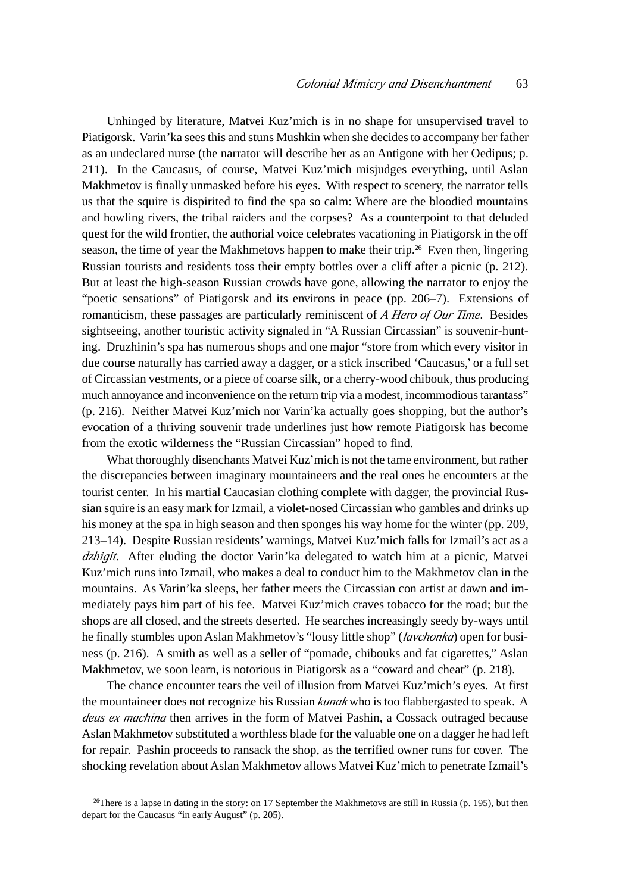Unhinged by literature, Matvei Kuz'mich is in no shape for unsupervised travel to Piatigorsk. Varin'ka sees this and stuns Mushkin when she decides to accompany her father as an undeclared nurse (the narrator will describe her as an Antigone with her Oedipus; p. 211). In the Caucasus, of course, Matvei Kuz'mich misjudges everything, until Aslan Makhmetov is finally unmasked before his eyes. With respect to scenery, the narrator tells us that the squire is dispirited to find the spa so calm: Where are the bloodied mountains and howling rivers, the tribal raiders and the corpses? As a counterpoint to that deluded quest for the wild frontier, the authorial voice celebrates vacationing in Piatigorsk in the off season, the time of year the Makhmetovs happen to make their trip.<sup>26</sup> Even then, lingering Russian tourists and residents toss their empty bottles over a cliff after a picnic (p. 212). But at least the high-season Russian crowds have gone, allowing the narrator to enjoy the "poetic sensations" of Piatigorsk and its environs in peace (pp. 206–7). Extensions of romanticism, these passages are particularly reminiscent of *A Hero of Our Time*. Besides sightseeing, another touristic activity signaled in "A Russian Circassian" is souvenir-hunting. Druzhinin's spa has numerous shops and one major "store from which every visitor in due course naturally has carried away a dagger, or a stick inscribed 'Caucasus,' or a full set of Circassian vestments, or a piece of coarse silk, or a cherry-wood chibouk, thus producing much annoyance and inconvenience on the return trip via a modest, incommodious tarantass" (p. 216). Neither Matvei Kuz'mich nor Varin'ka actually goes shopping, but the author's evocation of a thriving souvenir trade underlines just how remote Piatigorsk has become from the exotic wilderness the "Russian Circassian" hoped to find.

What thoroughly disenchants Matvei Kuz'mich is not the tame environment, but rather the discrepancies between imaginary mountaineers and the real ones he encounters at the tourist center. In his martial Caucasian clothing complete with dagger, the provincial Russian squire is an easy mark for Izmail, a violet-nosed Circassian who gambles and drinks up his money at the spa in high season and then sponges his way home for the winter (pp. 209, 213–14). Despite Russian residents' warnings, Matvei Kuz'mich falls for Izmail's act as a *dzhigit*. After eluding the doctor Varin'ka delegated to watch him at a picnic, Matvei Kuz'mich runs into Izmail, who makes a deal to conduct him to the Makhmetov clan in the mountains. As Varin'ka sleeps, her father meets the Circassian con artist at dawn and immediately pays him part of his fee. Matvei Kuz'mich craves tobacco for the road; but the shops are all closed, and the streets deserted. He searches increasingly seedy by-ways until he finally stumbles upon Aslan Makhmetov's "lousy little shop" (*lavchonka*) open for business (p. 216). A smith as well as a seller of "pomade, chibouks and fat cigarettes," Aslan Makhmetov, we soon learn, is notorious in Piatigorsk as a "coward and cheat" (p. 218).

The chance encounter tears the veil of illusion from Matvei Kuz'mich's eyes. At first the mountaineer does not recognize his Russian *kunak* who is too flabbergasted to speak. A *deus ex machina* then arrives in the form of Matvei Pashin, a Cossack outraged because Aslan Makhmetov substituted a worthless blade for the valuable one on a dagger he had left for repair. Pashin proceeds to ransack the shop, as the terrified owner runs for cover. The shocking revelation about Aslan Makhmetov allows Matvei Kuz'mich to penetrate Izmail's

 $26$ There is a lapse in dating in the story: on 17 September the Makhmetovs are still in Russia (p. 195), but then depart for the Caucasus "in early August" (p. 205).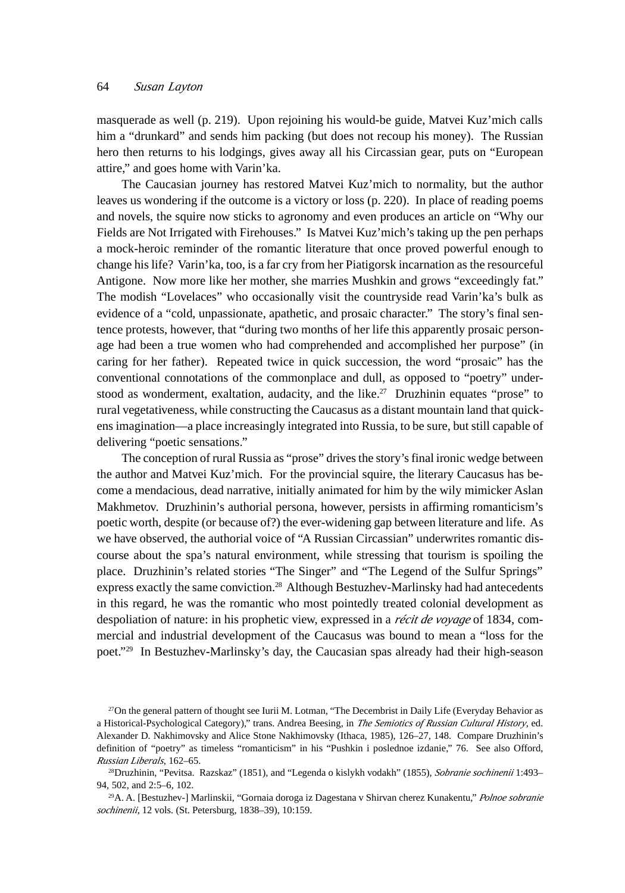masquerade as well (p. 219). Upon rejoining his would-be guide, Matvei Kuz'mich calls him a "drunkard" and sends him packing (but does not recoup his money). The Russian hero then returns to his lodgings, gives away all his Circassian gear, puts on "European attire," and goes home with Varin'ka.

The Caucasian journey has restored Matvei Kuz'mich to normality, but the author leaves us wondering if the outcome is a victory or loss (p. 220). In place of reading poems and novels, the squire now sticks to agronomy and even produces an article on "Why our Fields are Not Irrigated with Firehouses." Is Matvei Kuz'mich's taking up the pen perhaps a mock-heroic reminder of the romantic literature that once proved powerful enough to change his life? Varin'ka, too, is a far cry from her Piatigorsk incarnation as the resourceful Antigone. Now more like her mother, she marries Mushkin and grows "exceedingly fat." The modish "Lovelaces" who occasionally visit the countryside read Varin'ka's bulk as evidence of a "cold, unpassionate, apathetic, and prosaic character." The story's final sentence protests, however, that "during two months of her life this apparently prosaic personage had been a true women who had comprehended and accomplished her purpose" (in caring for her father). Repeated twice in quick succession, the word "prosaic" has the conventional connotations of the commonplace and dull, as opposed to "poetry" understood as wonderment, exaltation, audacity, and the like.<sup>27</sup> Druzhinin equates "prose" to rural vegetativeness, while constructing the Caucasus as a distant mountain land that quickens imagination—a place increasingly integrated into Russia, to be sure, but still capable of delivering "poetic sensations."

The conception of rural Russia as "prose" drives the story's final ironic wedge between the author and Matvei Kuz'mich. For the provincial squire, the literary Caucasus has become a mendacious, dead narrative, initially animated for him by the wily mimicker Aslan Makhmetov. Druzhinin's authorial persona, however, persists in affirming romanticism's poetic worth, despite (or because of?) the ever-widening gap between literature and life. As we have observed, the authorial voice of "A Russian Circassian" underwrites romantic discourse about the spa's natural environment, while stressing that tourism is spoiling the place. Druzhinin's related stories "The Singer" and "The Legend of the Sulfur Springs" express exactly the same conviction.<sup>28</sup> Although Bestuzhev-Marlinsky had had antecedents in this regard, he was the romantic who most pointedly treated colonial development as despoliation of nature: in his prophetic view, expressed in a *récit de voyage* of 1834, commercial and industrial development of the Caucasus was bound to mean a "loss for the poet."29 In Bestuzhev-Marlinsky's day, the Caucasian spas already had their high-season

<sup>&</sup>lt;sup>27</sup>On the general pattern of thought see Iurii M. Lotman, "The Decembrist in Daily Life (Everyday Behavior as a Historical-Psychological Category)," trans. Andrea Beesing, in *The Semiotics of Russian Cultural History*, ed. Alexander D. Nakhimovsky and Alice Stone Nakhimovsky (Ithaca, 1985), 126–27, 148. Compare Druzhinin's definition of "poetry" as timeless "romanticism" in his "Pushkin i poslednoe izdanie," 76. See also Offord, *Russian Liberals*, 162–65.

<sup>28</sup>Druzhinin, "Pevitsa. Razskaz" (1851), and "Legenda o kislykh vodakh" (1855), *Sobranie sochinenii* 1:493– 94, 502, and 2:5–6, 102.

<sup>29</sup>A. A. [Bestuzhev-] Marlinskii, "Gornaia doroga iz Dagestana v Shirvan cherez Kunakentu," *Polnoe sobranie sochinenii*, 12 vols. (St. Petersburg, 1838–39), 10:159.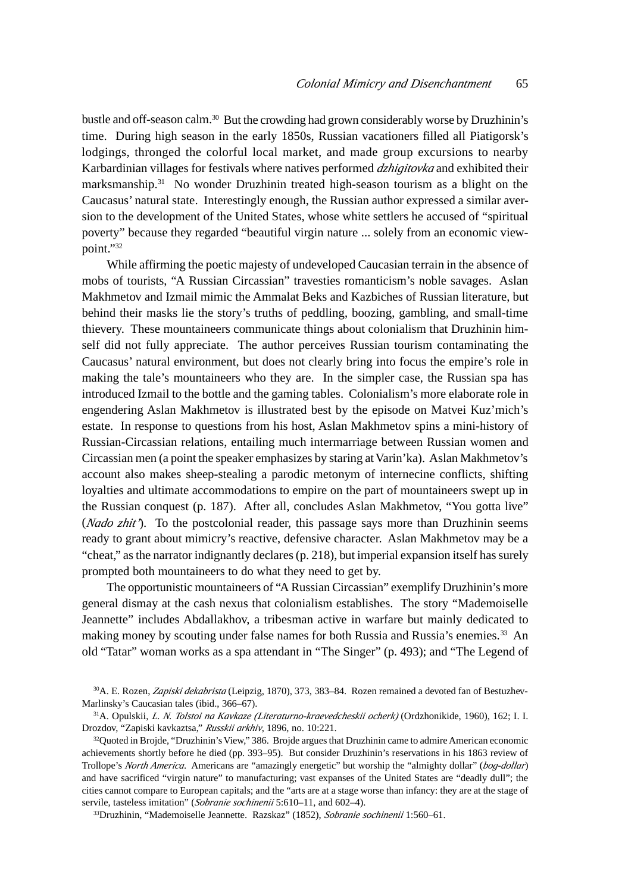bustle and off-season calm.30 But the crowding had grown considerably worse by Druzhinin's time. During high season in the early 1850s, Russian vacationers filled all Piatigorsk's lodgings, thronged the colorful local market, and made group excursions to nearby Karbardinian villages for festivals where natives performed *dzhigitovka* and exhibited their marksmanship.31 No wonder Druzhinin treated high-season tourism as a blight on the Caucasus' natural state. Interestingly enough, the Russian author expressed a similar aversion to the development of the United States, whose white settlers he accused of "spiritual poverty" because they regarded "beautiful virgin nature ... solely from an economic viewpoint."32

While affirming the poetic majesty of undeveloped Caucasian terrain in the absence of mobs of tourists, "A Russian Circassian" travesties romanticism's noble savages. Aslan Makhmetov and Izmail mimic the Ammalat Beks and Kazbiches of Russian literature, but behind their masks lie the story's truths of peddling, boozing, gambling, and small-time thievery. These mountaineers communicate things about colonialism that Druzhinin himself did not fully appreciate. The author perceives Russian tourism contaminating the Caucasus' natural environment, but does not clearly bring into focus the empire's role in making the tale's mountaineers who they are. In the simpler case, the Russian spa has introduced Izmail to the bottle and the gaming tables. Colonialism's more elaborate role in engendering Aslan Makhmetov is illustrated best by the episode on Matvei Kuz'mich's estate. In response to questions from his host, Aslan Makhmetov spins a mini-history of Russian-Circassian relations, entailing much intermarriage between Russian women and Circassian men (a point the speaker emphasizes by staring at Varin'ka). Aslan Makhmetov's account also makes sheep-stealing a parodic metonym of internecine conflicts, shifting loyalties and ultimate accommodations to empire on the part of mountaineers swept up in the Russian conquest (p. 187). After all, concludes Aslan Makhmetov, "You gotta live" (*Nado zhit'*). To the postcolonial reader, this passage says more than Druzhinin seems ready to grant about mimicry's reactive, defensive character. Aslan Makhmetov may be a "cheat," as the narrator indignantly declares (p. 218), but imperial expansion itself has surely prompted both mountaineers to do what they need to get by.

The opportunistic mountaineers of "A Russian Circassian" exemplify Druzhinin's more general dismay at the cash nexus that colonialism establishes. The story "Mademoiselle Jeannette" includes Abdallakhov, a tribesman active in warfare but mainly dedicated to making money by scouting under false names for both Russia and Russia's enemies.33 An old "Tatar" woman works as a spa attendant in "The Singer" (p. 493); and "The Legend of

33Druzhinin, "Mademoiselle Jeannette. Razskaz" (1852), *Sobranie sochinenii* 1:560–61.

<sup>30</sup>A. E. Rozen, *Zapiski dekabrista* (Leipzig, 1870), 373, 383–84. Rozen remained a devoted fan of Bestuzhev-Marlinsky's Caucasian tales (ibid., 366–67).

<sup>31</sup>A. Opulskii, *L. N. Tolstoi na Kavkaze (Literaturno-kraevedcheskii ocherk)* (Ordzhonikide, 1960), 162; I. I. Drozdov, "Zapiski kavkaztsa," *Russkii arkhiv*, 1896, no. 10:221.

<sup>&</sup>lt;sup>32</sup>Quoted in Brojde, "Druzhinin's View," 386. Brojde argues that Druzhinin came to admire American economic achievements shortly before he died (pp. 393–95). But consider Druzhinin's reservations in his 1863 review of Trollope's *North America*. Americans are "amazingly energetic" but worship the "almighty dollar" (*bog-dollar*) and have sacrificed "virgin nature" to manufacturing; vast expanses of the United States are "deadly dull"; the cities cannot compare to European capitals; and the "arts are at a stage worse than infancy: they are at the stage of servile, tasteless imitation" (*Sobranie sochinenii* 5:610–11, and 602–4).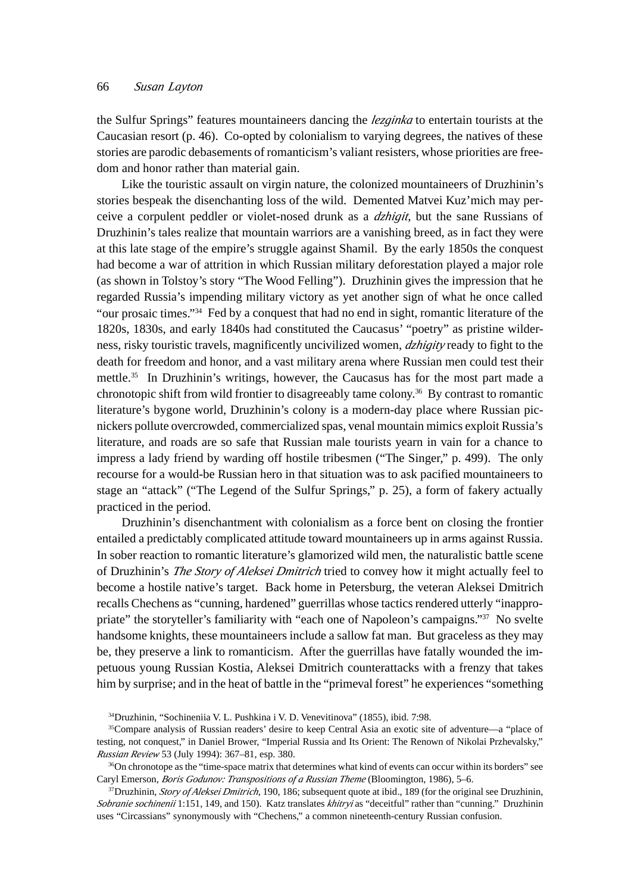the Sulfur Springs" features mountaineers dancing the *lezginka* to entertain tourists at the Caucasian resort (p. 46). Co-opted by colonialism to varying degrees, the natives of these stories are parodic debasements of romanticism's valiant resisters, whose priorities are freedom and honor rather than material gain.

Like the touristic assault on virgin nature, the colonized mountaineers of Druzhinin's stories bespeak the disenchanting loss of the wild. Demented Matvei Kuz'mich may perceive a corpulent peddler or violet-nosed drunk as a *dzhigit*, but the sane Russians of Druzhinin's tales realize that mountain warriors are a vanishing breed, as in fact they were at this late stage of the empire's struggle against Shamil. By the early 1850s the conquest had become a war of attrition in which Russian military deforestation played a major role (as shown in Tolstoy's story "The Wood Felling"). Druzhinin gives the impression that he regarded Russia's impending military victory as yet another sign of what he once called "our prosaic times."34 Fed by a conquest that had no end in sight, romantic literature of the 1820s, 1830s, and early 1840s had constituted the Caucasus' "poetry" as pristine wilderness, risky touristic travels, magnificently uncivilized women, *dzhigity* ready to fight to the death for freedom and honor, and a vast military arena where Russian men could test their mettle.35 In Druzhinin's writings, however, the Caucasus has for the most part made a chronotopic shift from wild frontier to disagreeably tame colony.36 By contrast to romantic literature's bygone world, Druzhinin's colony is a modern-day place where Russian picnickers pollute overcrowded, commercialized spas, venal mountain mimics exploit Russia's literature, and roads are so safe that Russian male tourists yearn in vain for a chance to impress a lady friend by warding off hostile tribesmen ("The Singer," p. 499). The only recourse for a would-be Russian hero in that situation was to ask pacified mountaineers to stage an "attack" ("The Legend of the Sulfur Springs," p. 25), a form of fakery actually practiced in the period.

Druzhinin's disenchantment with colonialism as a force bent on closing the frontier entailed a predictably complicated attitude toward mountaineers up in arms against Russia. In sober reaction to romantic literature's glamorized wild men, the naturalistic battle scene of Druzhinin's *The Story of Aleksei Dmitrich* tried to convey how it might actually feel to become a hostile native's target. Back home in Petersburg, the veteran Aleksei Dmitrich recalls Chechens as "cunning, hardened" guerrillas whose tactics rendered utterly "inappropriate" the storyteller's familiarity with "each one of Napoleon's campaigns."37 No svelte handsome knights, these mountaineers include a sallow fat man. But graceless as they may be, they preserve a link to romanticism. After the guerrillas have fatally wounded the impetuous young Russian Kostia, Aleksei Dmitrich counterattacks with a frenzy that takes him by surprise; and in the heat of battle in the "primeval forest" he experiences "something

<sup>34</sup>Druzhinin, "Sochineniia V. L. Pushkina i V. D. Venevitinova" (1855), ibid. 7:98.

<sup>35</sup>Compare analysis of Russian readers' desire to keep Central Asia an exotic site of adventure—a "place of testing, not conquest," in Daniel Brower, "Imperial Russia and Its Orient: The Renown of Nikolai Przhevalsky," *Russian Review* 53 (July 1994): 367–81, esp. 380.

<sup>&</sup>lt;sup>36</sup>On chronotope as the "time-space matrix that determines what kind of events can occur within its borders" see Caryl Emerson, *Boris Godunov: Transpositions of a Russian Theme* (Bloomington, 1986), 5–6.

<sup>37</sup>Druzhinin, *Story of Aleksei Dmitrich*, 190, 186; subsequent quote at ibid., 189 (for the original see Druzhinin, *Sobranie sochinenii* 1:151, 149, and 150). Katz translates *khitryi* as "deceitful" rather than "cunning." Druzhinin uses "Circassians" synonymously with "Chechens," a common nineteenth-century Russian confusion.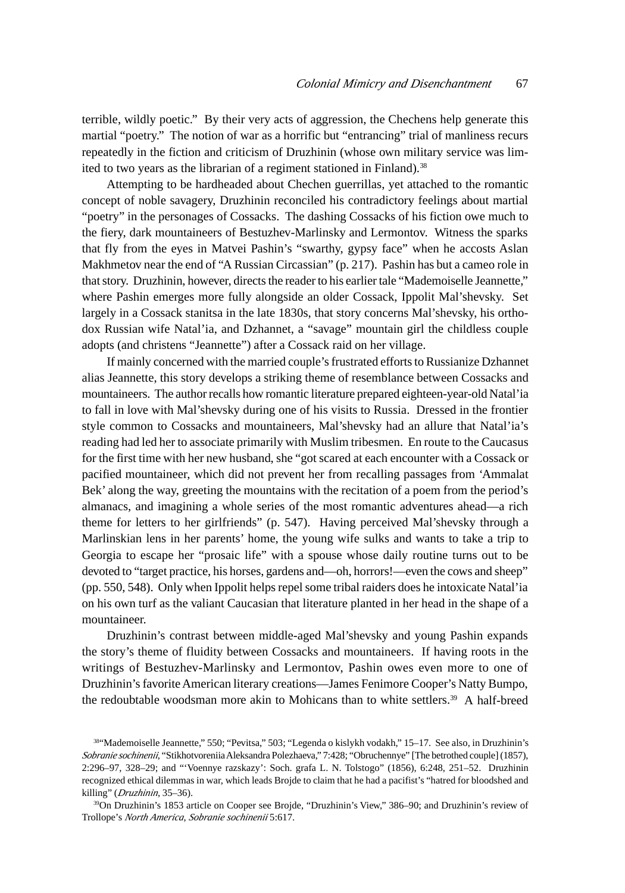terrible, wildly poetic." By their very acts of aggression, the Chechens help generate this martial "poetry." The notion of war as a horrific but "entrancing" trial of manliness recurs repeatedly in the fiction and criticism of Druzhinin (whose own military service was limited to two years as the librarian of a regiment stationed in Finland).<sup>38</sup>

Attempting to be hardheaded about Chechen guerrillas, yet attached to the romantic concept of noble savagery, Druzhinin reconciled his contradictory feelings about martial "poetry" in the personages of Cossacks. The dashing Cossacks of his fiction owe much to the fiery, dark mountaineers of Bestuzhev-Marlinsky and Lermontov. Witness the sparks that fly from the eyes in Matvei Pashin's "swarthy, gypsy face" when he accosts Aslan Makhmetov near the end of "A Russian Circassian" (p. 217). Pashin has but a cameo role in that story. Druzhinin, however, directs the reader to his earlier tale "Mademoiselle Jeannette," where Pashin emerges more fully alongside an older Cossack, Ippolit Mal'shevsky. Set largely in a Cossack stanitsa in the late 1830s, that story concerns Mal'shevsky, his orthodox Russian wife Natal'ia, and Dzhannet, a "savage" mountain girl the childless couple adopts (and christens "Jeannette") after a Cossack raid on her village.

If mainly concerned with the married couple's frustrated efforts to Russianize Dzhannet alias Jeannette, this story develops a striking theme of resemblance between Cossacks and mountaineers. The author recalls how romantic literature prepared eighteen-year-old Natal'ia to fall in love with Mal'shevsky during one of his visits to Russia. Dressed in the frontier style common to Cossacks and mountaineers, Mal'shevsky had an allure that Natal'ia's reading had led her to associate primarily with Muslim tribesmen. En route to the Caucasus for the first time with her new husband, she "got scared at each encounter with a Cossack or pacified mountaineer, which did not prevent her from recalling passages from 'Ammalat Bek' along the way, greeting the mountains with the recitation of a poem from the period's almanacs, and imagining a whole series of the most romantic adventures ahead—a rich theme for letters to her girlfriends" (p. 547). Having perceived Mal'shevsky through a Marlinskian lens in her parents' home, the young wife sulks and wants to take a trip to Georgia to escape her "prosaic life" with a spouse whose daily routine turns out to be devoted to "target practice, his horses, gardens and—oh, horrors!—even the cows and sheep" (pp. 550, 548). Only when Ippolit helps repel some tribal raiders does he intoxicate Natal'ia on his own turf as the valiant Caucasian that literature planted in her head in the shape of a mountaineer.

Druzhinin's contrast between middle-aged Mal'shevsky and young Pashin expands the story's theme of fluidity between Cossacks and mountaineers. If having roots in the writings of Bestuzhev-Marlinsky and Lermontov, Pashin owes even more to one of Druzhinin's favorite American literary creations—James Fenimore Cooper's Natty Bumpo, the redoubtable woodsman more akin to Mohicans than to white settlers.39 A half-breed

<sup>38&</sup>quot;Mademoiselle Jeannette," 550; "Pevitsa," 503; "Legenda o kislykh vodakh," 15–17. See also, in Druzhinin's *Sobranie sochinenii*, "Stikhotvoreniia Aleksandra Polezhaeva," 7:428; "Obruchennye" [The betrothed couple] (1857), 2:296–97, 328–29; and "'Voennye razskazy': Soch. grafa L. N. Tolstogo" (1856), 6:248, 251–52. Druzhinin recognized ethical dilemmas in war, which leads Brojde to claim that he had a pacifist's "hatred for bloodshed and killing" (*Druzhinin*, 35–36).

<sup>39</sup>On Druzhinin's 1853 article on Cooper see Brojde, "Druzhinin's View," 386–90; and Druzhinin's review of Trollope's *North America*, *Sobranie sochinenii* 5:617.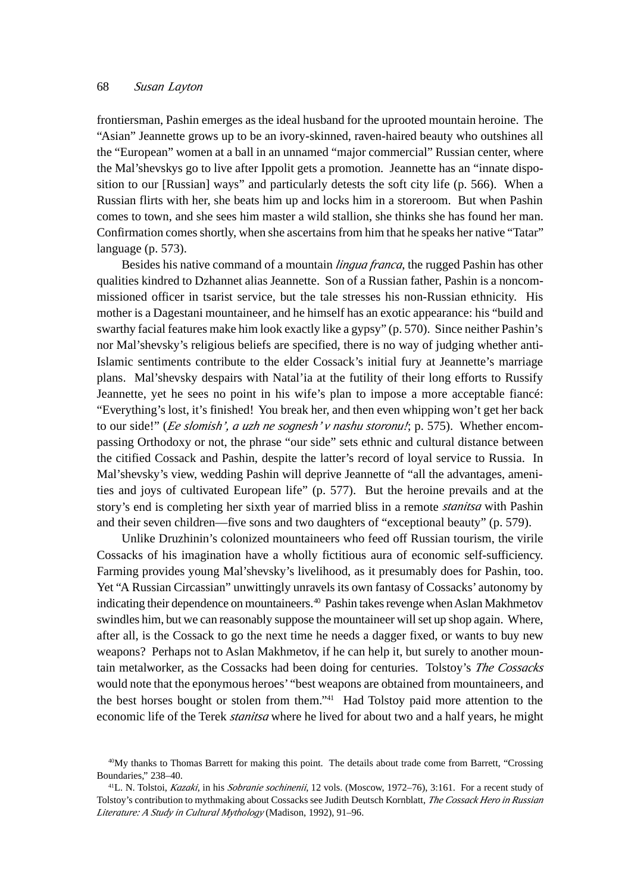frontiersman, Pashin emerges as the ideal husband for the uprooted mountain heroine. The "Asian" Jeannette grows up to be an ivory-skinned, raven-haired beauty who outshines all the "European" women at a ball in an unnamed "major commercial" Russian center, where the Mal'shevskys go to live after Ippolit gets a promotion. Jeannette has an "innate disposition to our [Russian] ways" and particularly detests the soft city life (p. 566). When a Russian flirts with her, she beats him up and locks him in a storeroom. But when Pashin comes to town, and she sees him master a wild stallion, she thinks she has found her man. Confirmation comes shortly, when she ascertains from him that he speaks her native "Tatar" language (p. 573).

Besides his native command of a mountain *lingua franca*, the rugged Pashin has other qualities kindred to Dzhannet alias Jeannette. Son of a Russian father, Pashin is a noncommissioned officer in tsarist service, but the tale stresses his non-Russian ethnicity. His mother is a Dagestani mountaineer, and he himself has an exotic appearance: his "build and swarthy facial features make him look exactly like a gypsy" (p. 570). Since neither Pashin's nor Mal'shevsky's religious beliefs are specified, there is no way of judging whether anti-Islamic sentiments contribute to the elder Cossack's initial fury at Jeannette's marriage plans. Mal'shevsky despairs with Natal'ia at the futility of their long efforts to Russify Jeannette, yet he sees no point in his wife's plan to impose a more acceptable fiancé: "Everything's lost, it's finished! You break her, and then even whipping won't get her back to our side!" (*Ee slomish', a uzh ne sognesh' v nashu storonu!*; p. 575). Whether encompassing Orthodoxy or not, the phrase "our side" sets ethnic and cultural distance between the citified Cossack and Pashin, despite the latter's record of loyal service to Russia. In Mal'shevsky's view, wedding Pashin will deprive Jeannette of "all the advantages, amenities and joys of cultivated European life" (p. 577). But the heroine prevails and at the story's end is completing her sixth year of married bliss in a remote *stanitsa* with Pashin and their seven children—five sons and two daughters of "exceptional beauty" (p. 579).

Unlike Druzhinin's colonized mountaineers who feed off Russian tourism, the virile Cossacks of his imagination have a wholly fictitious aura of economic self-sufficiency. Farming provides young Mal'shevsky's livelihood, as it presumably does for Pashin, too. Yet "A Russian Circassian" unwittingly unravels its own fantasy of Cossacks' autonomy by indicating their dependence on mountaineers.<sup>40</sup> Pashin takes revenge when Aslan Makhmetov swindles him, but we can reasonably suppose the mountaineer will set up shop again. Where, after all, is the Cossack to go the next time he needs a dagger fixed, or wants to buy new weapons? Perhaps not to Aslan Makhmetov, if he can help it, but surely to another mountain metalworker, as the Cossacks had been doing for centuries. Tolstoy's *The Cossacks* would note that the eponymous heroes' "best weapons are obtained from mountaineers, and the best horses bought or stolen from them."41 Had Tolstoy paid more attention to the economic life of the Terek *stanitsa* where he lived for about two and a half years, he might

<sup>40</sup>My thanks to Thomas Barrett for making this point. The details about trade come from Barrett, "Crossing Boundaries," 238–40.

<sup>41</sup>L. N. Tolstoi, *Kazaki*, in his *Sobranie sochinenii*, 12 vols. (Moscow, 1972–76), 3:161. For a recent study of Tolstoy's contribution to mythmaking about Cossacks see Judith Deutsch Kornblatt, *The Cossack Hero in Russian Literature: A Study in Cultural Mythology* (Madison, 1992), 91–96.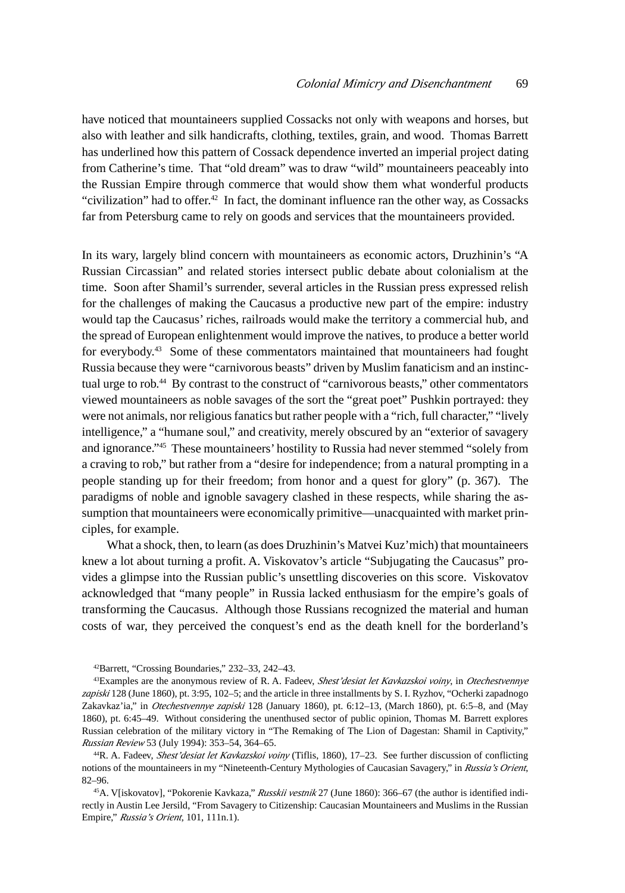have noticed that mountaineers supplied Cossacks not only with weapons and horses, but also with leather and silk handicrafts, clothing, textiles, grain, and wood. Thomas Barrett has underlined how this pattern of Cossack dependence inverted an imperial project dating from Catherine's time. That "old dream" was to draw "wild" mountaineers peaceably into the Russian Empire through commerce that would show them what wonderful products "civilization" had to offer.<sup>42</sup> In fact, the dominant influence ran the other way, as Cossacks far from Petersburg came to rely on goods and services that the mountaineers provided.

In its wary, largely blind concern with mountaineers as economic actors, Druzhinin's "A Russian Circassian" and related stories intersect public debate about colonialism at the time. Soon after Shamil's surrender, several articles in the Russian press expressed relish for the challenges of making the Caucasus a productive new part of the empire: industry would tap the Caucasus' riches, railroads would make the territory a commercial hub, and the spread of European enlightenment would improve the natives, to produce a better world for everybody.43 Some of these commentators maintained that mountaineers had fought Russia because they were "carnivorous beasts" driven by Muslim fanaticism and an instinctual urge to rob.<sup>44</sup> By contrast to the construct of "carnivorous beasts," other commentators viewed mountaineers as noble savages of the sort the "great poet" Pushkin portrayed: they were not animals, nor religious fanatics but rather people with a "rich, full character," "lively intelligence," a "humane soul," and creativity, merely obscured by an "exterior of savagery and ignorance."45 These mountaineers' hostility to Russia had never stemmed "solely from a craving to rob," but rather from a "desire for independence; from a natural prompting in a people standing up for their freedom; from honor and a quest for glory" (p. 367). The paradigms of noble and ignoble savagery clashed in these respects, while sharing the assumption that mountaineers were economically primitive—unacquainted with market principles, for example.

What a shock, then, to learn (as does Druzhinin's Matvei Kuz'mich) that mountaineers knew a lot about turning a profit. A. Viskovatov's article "Subjugating the Caucasus" provides a glimpse into the Russian public's unsettling discoveries on this score. Viskovatov acknowledged that "many people" in Russia lacked enthusiasm for the empire's goals of transforming the Caucasus. Although those Russians recognized the material and human costs of war, they perceived the conquest's end as the death knell for the borderland's

<sup>42</sup>Barrett, "Crossing Boundaries," 232–33, 242–43.

<sup>43</sup>Examples are the anonymous review of R. A. Fadeev, *Shest'desiat let Kavkazskoi voiny*, in *Otechestvennye zapiski* 128 (June 1860), pt. 3:95, 102–5; and the article in three installments by S. I. Ryzhov, "Ocherki zapadnogo Zakavkaz'ia," in *Otechestvennye zapiski* 128 (January 1860), pt. 6:12–13, (March 1860), pt. 6:5–8, and (May 1860), pt. 6:45–49. Without considering the unenthused sector of public opinion, Thomas M. Barrett explores Russian celebration of the military victory in "The Remaking of The Lion of Dagestan: Shamil in Captivity," *Russian Review* 53 (July 1994): 353–54, 364–65.

<sup>44</sup>R. A. Fadeev, *Shest'desiat let Kavkazskoi voiny* (Tiflis, 1860), 17–23. See further discussion of conflicting notions of the mountaineers in my "Nineteenth-Century Mythologies of Caucasian Savagery," in *Russia's Orient*, 82–96.

<sup>45</sup>A. V[iskovatov], "Pokorenie Kavkaza," *Russkii vestnik* 27 (June 1860): 366–67 (the author is identified indirectly in Austin Lee Jersild, "From Savagery to Citizenship: Caucasian Mountaineers and Muslims in the Russian Empire," *Russia's Orient*, 101, 111n.1).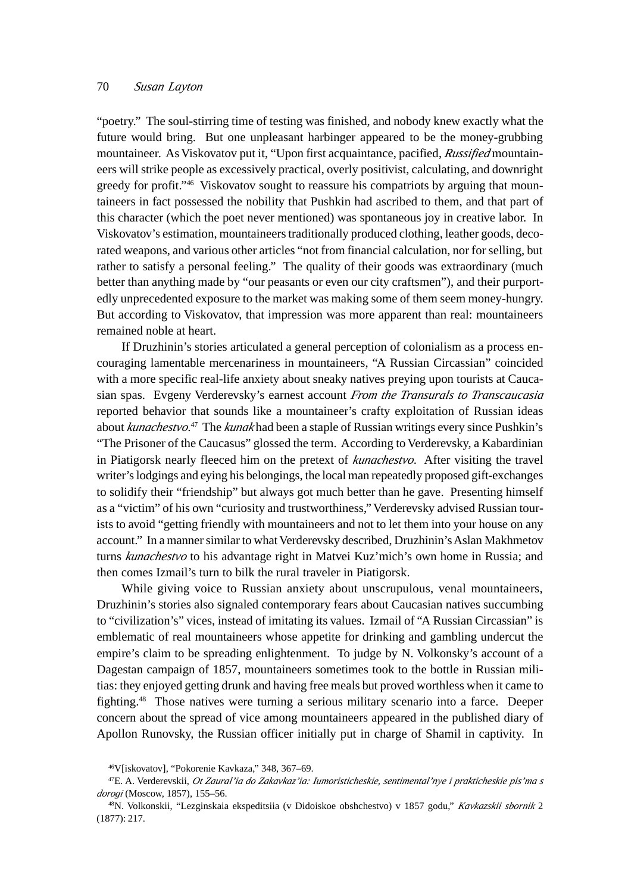"poetry." The soul-stirring time of testing was finished, and nobody knew exactly what the future would bring. But one unpleasant harbinger appeared to be the money-grubbing mountaineer. As Viskovatov put it, "Upon first acquaintance, pacified, *Russified* mountaineers will strike people as excessively practical, overly positivist, calculating, and downright greedy for profit."46 Viskovatov sought to reassure his compatriots by arguing that mountaineers in fact possessed the nobility that Pushkin had ascribed to them, and that part of this character (which the poet never mentioned) was spontaneous joy in creative labor. In Viskovatov's estimation, mountaineers traditionally produced clothing, leather goods, decorated weapons, and various other articles "not from financial calculation, nor for selling, but rather to satisfy a personal feeling." The quality of their goods was extraordinary (much better than anything made by "our peasants or even our city craftsmen"), and their purportedly unprecedented exposure to the market was making some of them seem money-hungry. But according to Viskovatov, that impression was more apparent than real: mountaineers remained noble at heart.

If Druzhinin's stories articulated a general perception of colonialism as a process encouraging lamentable mercenariness in mountaineers, "A Russian Circassian" coincided with a more specific real-life anxiety about sneaky natives preying upon tourists at Caucasian spas. Evgeny Verderevsky's earnest account *From the Transurals to Transcaucasia* reported behavior that sounds like a mountaineer's crafty exploitation of Russian ideas about *kunachestvo*. 47 The *kunak* had been a staple of Russian writings every since Pushkin's "The Prisoner of the Caucasus" glossed the term. According to Verderevsky, a Kabardinian in Piatigorsk nearly fleeced him on the pretext of *kunachestvo*. After visiting the travel writer's lodgings and eying his belongings, the local man repeatedly proposed gift-exchanges to solidify their "friendship" but always got much better than he gave. Presenting himself as a "victim" of his own "curiosity and trustworthiness," Verderevsky advised Russian tourists to avoid "getting friendly with mountaineers and not to let them into your house on any account." In a manner similar to what Verderevsky described, Druzhinin's Aslan Makhmetov turns *kunachestvo* to his advantage right in Matvei Kuz'mich's own home in Russia; and then comes Izmail's turn to bilk the rural traveler in Piatigorsk.

While giving voice to Russian anxiety about unscrupulous, venal mountaineers, Druzhinin's stories also signaled contemporary fears about Caucasian natives succumbing to "civilization's" vices, instead of imitating its values. Izmail of "A Russian Circassian" is emblematic of real mountaineers whose appetite for drinking and gambling undercut the empire's claim to be spreading enlightenment. To judge by N. Volkonsky's account of a Dagestan campaign of 1857, mountaineers sometimes took to the bottle in Russian militias: they enjoyed getting drunk and having free meals but proved worthless when it came to fighting.48 Those natives were turning a serious military scenario into a farce. Deeper concern about the spread of vice among mountaineers appeared in the published diary of Apollon Runovsky, the Russian officer initially put in charge of Shamil in captivity. In

<sup>46</sup>V[iskovatov], "Pokorenie Kavkaza," 348, 367–69.

<sup>47</sup>E. A. Verderevskii, *Ot Zaural'ia do Zakavkaz'ia: Iumoristicheskie, sentimental'nye i prakticheskie pis'ma s dorogi* (Moscow, 1857), 155–56.

<sup>48</sup>N. Volkonskii, "Lezginskaia ekspeditsiia (v Didoiskoe obshchestvo) v 1857 godu," *Kavkazskii sbornik* 2 (1877): 217.